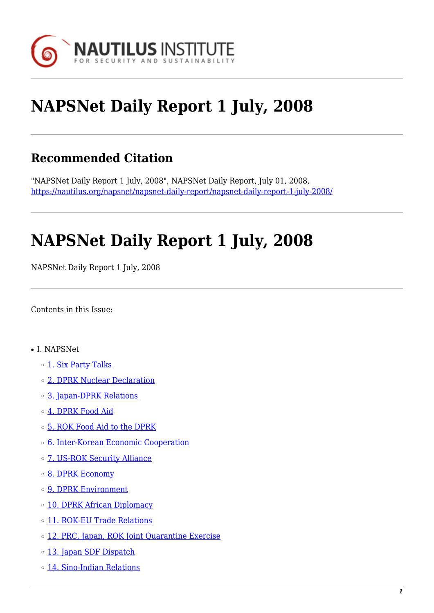

# **NAPSNet Daily Report 1 July, 2008**

# **Recommended Citation**

"NAPSNet Daily Report 1 July, 2008", NAPSNet Daily Report, July 01, 2008, <https://nautilus.org/napsnet/napsnet-daily-report/napsnet-daily-report-1-july-2008/>

# **NAPSNet Daily Report 1 July, 2008**

NAPSNet Daily Report 1 July, 2008

<span id="page-0-0"></span>Contents in this Issue:

- I. NAPSNet
	- o [1. Six Party Talks](#page-1-0)
	- ❍ [2. DPRK Nuclear Declaration](#page-1-1)
	- ❍ [3. Japan-DPRK Relations](#page-2-0)
	- ❍ [4. DPRK Food Aid](#page-2-1)
	- ❍ [5. ROK Food Aid to the DPRK](#page-2-2)
	- ❍ [6. Inter-Korean Economic Cooperation](#page-3-0)
	- ❍ [7. US-ROK Security Alliance](#page-3-1)
	- ❍ [8. DPRK Economy](#page-3-2)
	- o **[9. DPRK Environment](#page-3-3)**
	- o [10. DPRK African Diplomacy](#page-4-0)
	- o [11. ROK-EU Trade Relations](#page-4-1)
	- o [12. PRC, Japan, ROK Joint Quarantine Exercise](#page-4-2)
	- o [13. Japan SDF Dispatch](#page-4-3)
	- ❍ [14. Sino-Indian Relations](#page-5-0)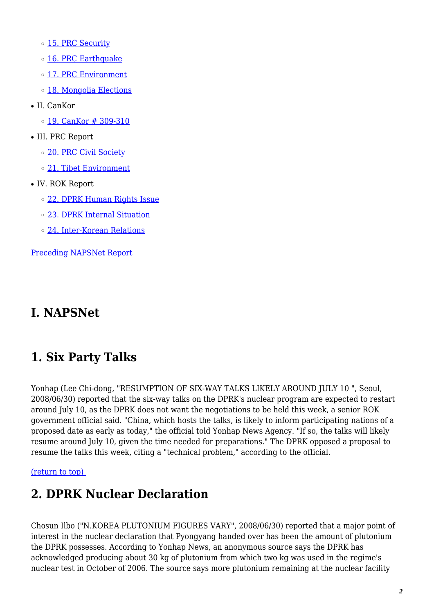o [15. PRC Security](#page-5-1)

- ❍ [16. PRC Earthquake](#page-5-2)
- o [17. PRC Environment](#page-5-3)
- ❍ [18. Mongolia Elections](#page-6-0)
- II. CanKor
	- $\circ$  [19. CanKor # 309-310](#page-6-1)
- III. PRC Report
	- o [20. PRC Civil Society](#page-7-0)
	- ❍ [21. Tibet Environment](#page-7-1)
- IV. ROK Report
	- ❍ [22. DPRK Human Rights Issue](#page-7-2)
	- ❍ [23. DPRK Internal Situation](#page-8-0)
	- ❍ [24. Inter-Korean Relations](#page-8-1)

[Preceding NAPSNet Report](https://nautilus.org/mailing-lists/napsnet/dr/2008-2/napsnet-daily-report-30-june-2008/)

### **I. NAPSNet**

# <span id="page-1-0"></span>**1. Six Party Talks**

Yonhap (Lee Chi-dong, "RESUMPTION OF SIX-WAY TALKS LIKELY AROUND JULY 10 ", Seoul, 2008/06/30) reported that the six-way talks on the DPRK's nuclear program are expected to restart around July 10, as the DPRK does not want the negotiations to be held this week, a senior ROK government official said. "China, which hosts the talks, is likely to inform participating nations of a proposed date as early as today," the official told Yonhap News Agency. "If so, the talks will likely resume around July 10, given the time needed for preparations." The DPRK opposed a proposal to resume the talks this week, citing a "technical problem," according to the official.

<span id="page-1-1"></span>[\(return to top\)](#page-0-0) 

# **2. DPRK Nuclear Declaration**

Chosun Ilbo ("N.KOREA PLUTONIUM FIGURES VARY", 2008/06/30) reported that a major point of interest in the nuclear declaration that Pyongyang handed over has been the amount of plutonium the DPRK possesses. According to Yonhap News, an anonymous source says the DPRK has acknowledged producing about 30 kg of plutonium from which two kg was used in the regime's nuclear test in October of 2006. The source says more plutonium remaining at the nuclear facility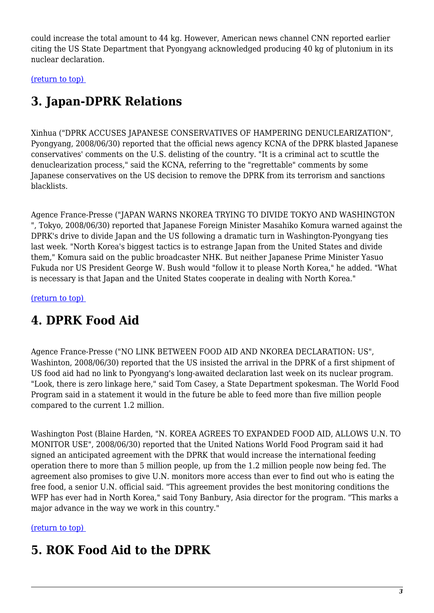could increase the total amount to 44 kg. However, American news channel CNN reported earlier citing the US State Department that Pyongyang acknowledged producing 40 kg of plutonium in its nuclear declaration.

<span id="page-2-0"></span>[\(return to top\)](#page-0-0) 

# **3. Japan-DPRK Relations**

Xinhua ("DPRK ACCUSES JAPANESE CONSERVATIVES OF HAMPERING DENUCLEARIZATION", Pyongyang, 2008/06/30) reported that the official news agency KCNA of the DPRK blasted Japanese conservatives' comments on the U.S. delisting of the country. "It is a criminal act to scuttle the denuclearization process," said the KCNA, referring to the "regrettable" comments by some Japanese conservatives on the US decision to remove the DPRK from its terrorism and sanctions blacklists.

Agence France-Presse ("JAPAN WARNS NKOREA TRYING TO DIVIDE TOKYO AND WASHINGTON ", Tokyo, 2008/06/30) reported that Japanese Foreign Minister Masahiko Komura warned against the DPRK's drive to divide Japan and the US following a dramatic turn in Washington-Pyongyang ties last week. "North Korea's biggest tactics is to estrange Japan from the United States and divide them," Komura said on the public broadcaster NHK. But neither Japanese Prime Minister Yasuo Fukuda nor US President George W. Bush would "follow it to please North Korea," he added. "What is necessary is that Japan and the United States cooperate in dealing with North Korea."

<span id="page-2-1"></span>[\(return to top\)](#page-0-0) 

# **4. DPRK Food Aid**

Agence France-Presse ("NO LINK BETWEEN FOOD AID AND NKOREA DECLARATION: US", Washinton, 2008/06/30) reported that the US insisted the arrival in the DPRK of a first shipment of US food aid had no link to Pyongyang's long-awaited declaration last week on its nuclear program. "Look, there is zero linkage here," said Tom Casey, a State Department spokesman. The World Food Program said in a statement it would in the future be able to feed more than five million people compared to the current 1.2 million.

Washington Post (Blaine Harden, "N. KOREA AGREES TO EXPANDED FOOD AID, ALLOWS U.N. TO MONITOR USE", 2008/06/30) reported that the United Nations World Food Program said it had signed an anticipated agreement with the DPRK that would increase the international feeding operation there to more than 5 million people, up from the 1.2 million people now being fed. The agreement also promises to give U.N. monitors more access than ever to find out who is eating the free food, a senior U.N. official said. "This agreement provides the best monitoring conditions the WFP has ever had in North Korea," said Tony Banbury, Asia director for the program. "This marks a major advance in the way we work in this country."

<span id="page-2-2"></span>[\(return to top\)](#page-0-0) 

# **5. ROK Food Aid to the DPRK**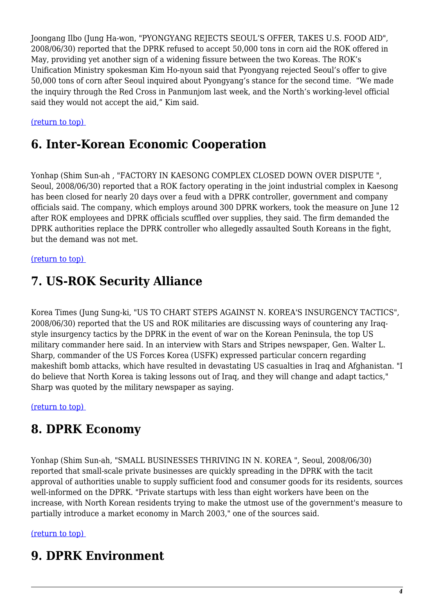Joongang Ilbo (Jung Ha-won, "PYONGYANG REJECTS SEOUL'S OFFER, TAKES U.S. FOOD AID", 2008/06/30) reported that the DPRK refused to accept 50,000 tons in corn aid the ROK offered in May, providing yet another sign of a widening fissure between the two Koreas. The ROK's Unification Ministry spokesman Kim Ho-nyoun said that Pyongyang rejected Seoul's offer to give 50,000 tons of corn after Seoul inquired about Pyongyang's stance for the second time. "We made the inquiry through the Red Cross in Panmunjom last week, and the North's working-level official said they would not accept the aid," Kim said.

#### <span id="page-3-0"></span>[\(return to top\)](#page-0-0)

#### **6. Inter-Korean Economic Cooperation**

Yonhap (Shim Sun-ah , "FACTORY IN KAESONG COMPLEX CLOSED DOWN OVER DISPUTE ", Seoul, 2008/06/30) reported that a ROK factory operating in the joint industrial complex in Kaesong has been closed for nearly 20 days over a feud with a DPRK controller, government and company officials said. The company, which employs around 300 DPRK workers, took the measure on June 12 after ROK employees and DPRK officials scuffled over supplies, they said. The firm demanded the DPRK authorities replace the DPRK controller who allegedly assaulted South Koreans in the fight, but the demand was not met.

#### <span id="page-3-1"></span>[\(return to top\)](#page-0-0)

### **7. US-ROK Security Alliance**

Korea Times (Jung Sung-ki, "US TO CHART STEPS AGAINST N. KOREA'S INSURGENCY TACTICS", 2008/06/30) reported that the US and ROK militaries are discussing ways of countering any Iraqstyle insurgency tactics by the DPRK in the event of war on the Korean Peninsula, the top US military commander here said. In an interview with Stars and Stripes newspaper, Gen. Walter L. Sharp, commander of the US Forces Korea (USFK) expressed particular concern regarding makeshift bomb attacks, which have resulted in devastating US casualties in Iraq and Afghanistan. "I do believe that North Korea is taking lessons out of Iraq, and they will change and adapt tactics," Sharp was quoted by the military newspaper as saying.

<span id="page-3-2"></span>[\(return to top\)](#page-0-0) 

#### **8. DPRK Economy**

Yonhap (Shim Sun-ah, "SMALL BUSINESSES THRIVING IN N. KOREA ", Seoul, 2008/06/30) reported that small-scale private businesses are quickly spreading in the DPRK with the tacit approval of authorities unable to supply sufficient food and consumer goods for its residents, sources well-informed on the DPRK. "Private startups with less than eight workers have been on the increase, with North Korean residents trying to make the utmost use of the government's measure to partially introduce a market economy in March 2003," one of the sources said.

#### <span id="page-3-3"></span>[\(return to top\)](#page-0-0)

#### **9. DPRK Environment**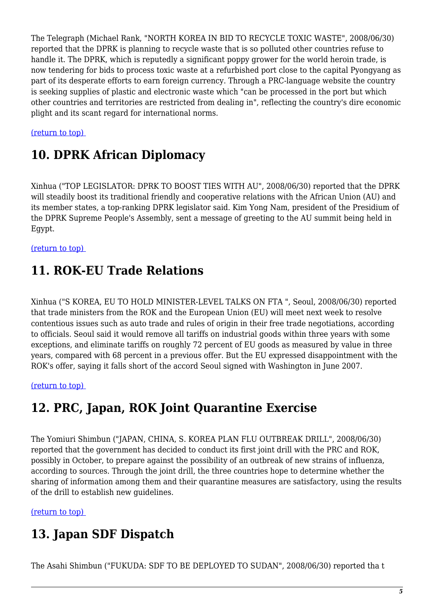The Telegraph (Michael Rank, "NORTH KOREA IN BID TO RECYCLE TOXIC WASTE", 2008/06/30) reported that the DPRK is planning to recycle waste that is so polluted other countries refuse to handle it. The DPRK, which is reputedly a significant poppy grower for the world heroin trade, is now tendering for bids to process toxic waste at a refurbished port close to the capital Pyongyang as part of its desperate efforts to earn foreign currency. Through a PRC-language website the country is seeking supplies of plastic and electronic waste which "can be processed in the port but which other countries and territories are restricted from dealing in", reflecting the country's dire economic plight and its scant regard for international norms.

#### <span id="page-4-0"></span>[\(return to top\)](#page-0-0)

#### **10. DPRK African Diplomacy**

Xinhua ("TOP LEGISLATOR: DPRK TO BOOST TIES WITH AU", 2008/06/30) reported that the DPRK will steadily boost its traditional friendly and cooperative relations with the African Union (AU) and its member states, a top-ranking DPRK legislator said. Kim Yong Nam, president of the Presidium of the DPRK Supreme People's Assembly, sent a message of greeting to the AU summit being held in Egypt.

<span id="page-4-1"></span>[\(return to top\)](#page-0-0) 

### **11. ROK-EU Trade Relations**

Xinhua ("S KOREA, EU TO HOLD MINISTER-LEVEL TALKS ON FTA ", Seoul, 2008/06/30) reported that trade ministers from the ROK and the European Union (EU) will meet next week to resolve contentious issues such as auto trade and rules of origin in their free trade negotiations, according to officials. Seoul said it would remove all tariffs on industrial goods within three years with some exceptions, and eliminate tariffs on roughly 72 percent of EU goods as measured by value in three years, compared with 68 percent in a previous offer. But the EU expressed disappointment with the ROK's offer, saying it falls short of the accord Seoul signed with Washington in June 2007.

<span id="page-4-2"></span>[\(return to top\)](#page-0-0) 

### **12. PRC, Japan, ROK Joint Quarantine Exercise**

The Yomiuri Shimbun ("JAPAN, CHINA, S. KOREA PLAN FLU OUTBREAK DRILL", 2008/06/30) reported that the government has decided to conduct its first joint drill with the PRC and ROK, possibly in October, to prepare against the possibility of an outbreak of new strains of influenza, according to sources. Through the joint drill, the three countries hope to determine whether the sharing of information among them and their quarantine measures are satisfactory, using the results of the drill to establish new guidelines.

<span id="page-4-3"></span>[\(return to top\)](#page-0-0) 

# **13. Japan SDF Dispatch**

The Asahi Shimbun ("FUKUDA: SDF TO BE DEPLOYED TO SUDAN", 2008/06/30) reported tha t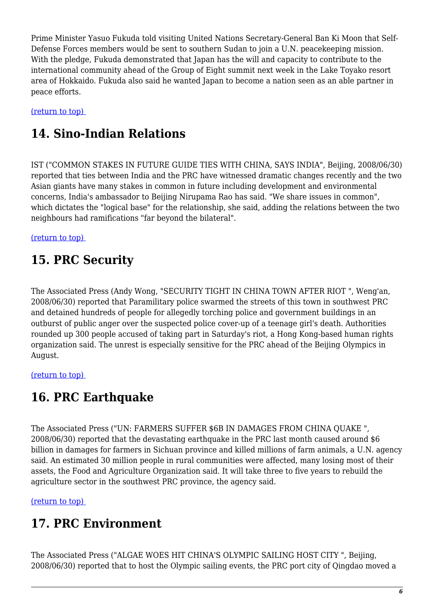Prime Minister Yasuo Fukuda told visiting United Nations Secretary-General Ban Ki Moon that Self-Defense Forces members would be sent to southern Sudan to join a U.N. peacekeeping mission. With the pledge, Fukuda demonstrated that Japan has the will and capacity to contribute to the international community ahead of the Group of Eight summit next week in the Lake Toyako resort area of Hokkaido. Fukuda also said he wanted Japan to become a nation seen as an able partner in peace efforts.

<span id="page-5-0"></span>[\(return to top\)](#page-0-0) 

# **14. Sino-Indian Relations**

IST ("COMMON STAKES IN FUTURE GUIDE TIES WITH CHINA, SAYS INDIA", Beijing, 2008/06/30) reported that ties between India and the PRC have witnessed dramatic changes recently and the two Asian giants have many stakes in common in future including development and environmental concerns, India's ambassador to Beijing Nirupama Rao has said. "We share issues in common", which dictates the "logical base" for the relationship, she said, adding the relations between the two neighbours had ramifications "far beyond the bilateral".

<span id="page-5-1"></span>[\(return to top\)](#page-0-0) 

# **15. PRC Security**

The Associated Press (Andy Wong, "SECURITY TIGHT IN CHINA TOWN AFTER RIOT ", Weng'an, 2008/06/30) reported that Paramilitary police swarmed the streets of this town in southwest PRC and detained hundreds of people for allegedly torching police and government buildings in an outburst of public anger over the suspected police cover-up of a teenage girl's death. Authorities rounded up 300 people accused of taking part in Saturday's riot, a Hong Kong-based human rights organization said. The unrest is especially sensitive for the PRC ahead of the Beijing Olympics in August.

<span id="page-5-2"></span>[\(return to top\)](#page-0-0) 

# **16. PRC Earthquake**

The Associated Press ("UN: FARMERS SUFFER \$6B IN DAMAGES FROM CHINA QUAKE ", 2008/06/30) reported that the devastating earthquake in the PRC last month caused around \$6 billion in damages for farmers in Sichuan province and killed millions of farm animals, a U.N. agency said. An estimated 30 million people in rural communities were affected, many losing most of their assets, the Food and Agriculture Organization said. It will take three to five years to rebuild the agriculture sector in the southwest PRC province, the agency said.

<span id="page-5-3"></span>[\(return to top\)](#page-0-0) 

# **17. PRC Environment**

The Associated Press ("ALGAE WOES HIT CHINA'S OLYMPIC SAILING HOST CITY ", Beijing, 2008/06/30) reported that to host the Olympic sailing events, the PRC port city of Qingdao moved a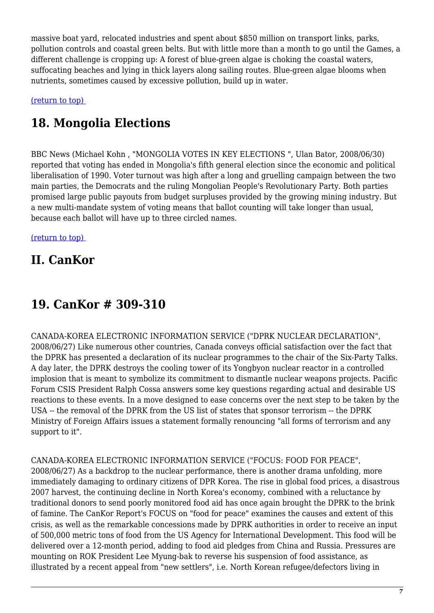massive boat yard, relocated industries and spent about \$850 million on transport links, parks, pollution controls and coastal green belts. But with little more than a month to go until the Games, a different challenge is cropping up: A forest of blue-green algae is choking the coastal waters, suffocating beaches and lying in thick layers along sailing routes. Blue-green algae blooms when nutrients, sometimes caused by excessive pollution, build up in water.

<span id="page-6-0"></span>[\(return to top\)](#page-0-0) 

# **18. Mongolia Elections**

BBC News (Michael Kohn , "MONGOLIA VOTES IN KEY ELECTIONS ", Ulan Bator, 2008/06/30) reported that voting has ended in Mongolia's fifth general election since the economic and political liberalisation of 1990. Voter turnout was high after a long and gruelling campaign between the two main parties, the Democrats and the ruling Mongolian People's Revolutionary Party. Both parties promised large public payouts from budget surpluses provided by the growing mining industry. But a new multi-mandate system of voting means that ballot counting will take longer than usual, because each ballot will have up to three circled names.

[\(return to top\)](#page-0-0) 

# **II. CanKor**

# <span id="page-6-1"></span>**19. CanKor # 309-310**

CANADA-KOREA ELECTRONIC INFORMATION SERVICE ("DPRK NUCLEAR DECLARATION", 2008/06/27) Like numerous other countries, Canada conveys official satisfaction over the fact that the DPRK has presented a declaration of its nuclear programmes to the chair of the Six-Party Talks. A day later, the DPRK destroys the cooling tower of its Yongbyon nuclear reactor in a controlled implosion that is meant to symbolize its commitment to dismantle nuclear weapons projects. Pacific Forum CSIS President Ralph Cossa answers some key questions regarding actual and desirable US reactions to these events. In a move designed to ease concerns over the next step to be taken by the USA -- the removal of the DPRK from the US list of states that sponsor terrorism -- the DPRK Ministry of Foreign Affairs issues a statement formally renouncing "all forms of terrorism and any support to it".

CANADA-KOREA ELECTRONIC INFORMATION SERVICE ("FOCUS: FOOD FOR PEACE",

2008/06/27) As a backdrop to the nuclear performance, there is another drama unfolding, more immediately damaging to ordinary citizens of DPR Korea. The rise in global food prices, a disastrous 2007 harvest, the continuing decline in North Korea's economy, combined with a reluctance by traditional donors to send poorly monitored food aid has once again brought the DPRK to the brink of famine. The CanKor Report's FOCUS on "food for peace" examines the causes and extent of this crisis, as well as the remarkable concessions made by DPRK authorities in order to receive an input of 500,000 metric tons of food from the US Agency for International Development. This food will be delivered over a 12-month period, adding to food aid pledges from China and Russia. Pressures are mounting on ROK President Lee Myung-bak to reverse his suspension of food assistance, as illustrated by a recent appeal from "new settlers", i.e. North Korean refugee/defectors living in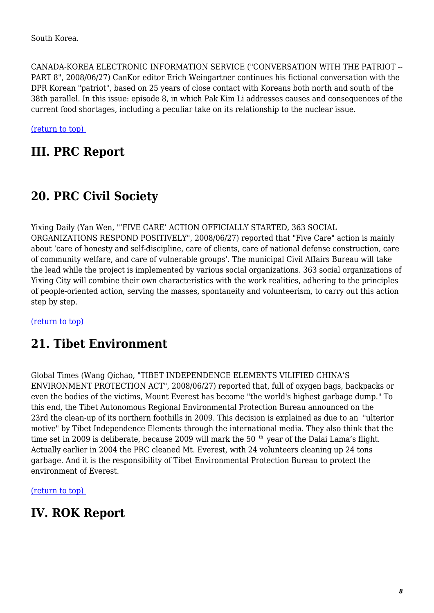CANADA-KOREA ELECTRONIC INFORMATION SERVICE ("CONVERSATION WITH THE PATRIOT -- PART 8", 2008/06/27) CanKor editor Erich Weingartner continues his fictional conversation with the DPR Korean "patriot", based on 25 years of close contact with Koreans both north and south of the 38th parallel. In this issue: episode 8, in which Pak Kim Li addresses causes and consequences of the current food shortages, including a peculiar take on its relationship to the nuclear issue.

[\(return to top\)](#page-0-0) 

### **III. PRC Report**

# <span id="page-7-0"></span>**20. PRC Civil Society**

Yixing Daily (Yan Wen, "'FIVE CARE' ACTION OFFICIALLY STARTED, 363 SOCIAL ORGANIZATIONS RESPOND POSITIVELY", 2008/06/27) reported that "Five Care" action is mainly about 'care of honesty and self-discipline, care of clients, care of national defense construction, care of community welfare, and care of vulnerable groups'. The municipal Civil Affairs Bureau will take the lead while the project is implemented by various social organizations. 363 social organizations of Yixing City will combine their own characteristics with the work realities, adhering to the principles of people-oriented action, serving the masses, spontaneity and volunteerism, to carry out this action step by step.

<span id="page-7-1"></span>[\(return to top\)](#page-0-0) 

# **21. Tibet Environment**

Global Times (Wang Qichao, "TIBET INDEPENDENCE ELEMENTS VILIFIED CHINA'S ENVIRONMENT PROTECTION ACT", 2008/06/27) reported that, full of oxygen bags, backpacks or even the bodies of the victims, Mount Everest has become "the world's highest garbage dump." To this end, the Tibet Autonomous Regional Environmental Protection Bureau announced on the 23rd the clean-up of its northern foothills in 2009. This decision is explained as due to an "ulterior motive" by Tibet Independence Elements through the international media. They also think that the time set in 2009 is deliberate, because 2009 will mark the 50  $<sup>th</sup>$  year of the Dalai Lama's flight.</sup> Actually earlier in 2004 the PRC cleaned Mt. Everest, with 24 volunteers cleaning up 24 tons garbage. And it is the responsibility of Tibet Environmental Protection Bureau to protect the environment of Everest.

[\(return to top\)](#page-0-0) 

### <span id="page-7-2"></span>**IV. ROK Report**